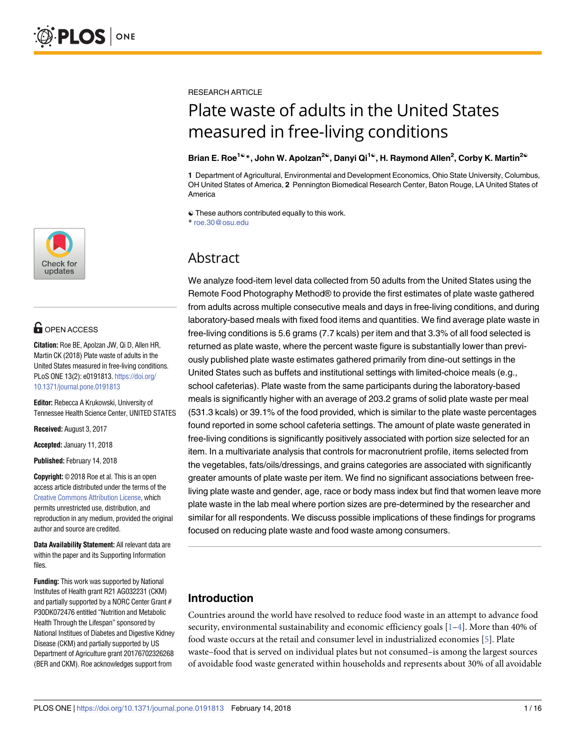

# **OPEN ACCESS**

**Citation:** Roe BE, Apolzan JW, Qi D, Allen HR, Martin CK (2018) Plate waste of adults in the United States measured in free-living conditions. PLoS ONE 13(2): e0191813. https://doi.org/ 10.1371/journal.pone.0191813

**Editor:** Rebecca A Krukowski, University of Tennessee Health Science Center, UNITED STATES

**Received:** August 3, 2017

**Accepted:** January 11, 2018

**Published:** February 14, 2018

**Copyright:** © 2018 Roe et al. This is an open access article distributed under the terms of the Creative Commons Attribution License, which permits unrestricted use, distribution, and reproduction in any medium, provided the original author and source are credited.

**Data Availability Statement:** All relevant data are within the paper and its Supporting Information files.

**Funding:** This work was supported by National Institutes of Health grant R21 AG032231 (CKM) and partially supported by a NORC Center Grant # P30DK072476 entitled "Nutrition and Metabolic Health Through the Lifespan" sponsored by National Institues of Diabetes and Digestive Kidney Disease (CKM) and partially supported by US Department of Agriculture grant 20176702326268 (BER and CKM). Roe acknowledges support from

<span id="page-0-0"></span>RESEARCH ARTICLE

# Plate waste of adults in the United States measured in free-living conditions

#### **Brian E. Roe1**☯**\*, John W. Apolzan2**☯**, Danyi Qi1**☯**, H. Raymond Allen2 , Corby K. Martin2**☯

**1** Department of Agricultural, Environmental and Development Economics, Ohio State University, Columbus, OH United States of America, **2** Pennington Biomedical Research Center, Baton Rouge, LA United States of America

☯ These authors contributed equally to this work. \* roe.30@osu.edu

## Abstract

We analyze food-item level data collected from 50 adults from the United States using the Remote Food Photography Method® to provide the first estimates of plate waste gathered from adults across multiple consecutive meals and days in free-living conditions, and during laboratory-based meals with fixed food items and quantities. We find average plate waste in free-living conditions is 5.6 grams (7.7 kcals) per item and that 3.3% of all food selected is returned as plate waste, where the percent waste figure is substantially lower than previously published plate waste estimates gathered primarily from dine-out settings in the United States such as buffets and institutional settings with limited-choice meals (e.g., school cafeterias). Plate waste from the same participants during the laboratory-based meals is significantly higher with an average of 203.2 grams of solid plate waste per meal (531.3 kcals) or 39.1% of the food provided, which is similar to the plate waste percentages found reported in some school cafeteria settings. The amount of plate waste generated in free-living conditions is significantly positively associated with portion size selected for an item. In a multivariate analysis that controls for macronutrient profile, items selected from the vegetables, fats/oils/dressings, and grains categories are associated with significantly greater amounts of plate waste per item. We find no significant associations between freeliving plate waste and gender, age, race or body mass index but find that women leave more plate waste in the lab meal where portion sizes are pre-determined by the researcher and similar for all respondents. We discuss possible implications of these findings for programs focused on reducing plate waste and food waste among consumers.

## **Introduction**

Countries around the world have resolved to reduce food waste in an attempt to advance food security, environmental sustainability and economic efficiency goals  $[1-4]$ . More than 40% of food waste occurs at the retail and consumer level in industrialized economies [\[5\]](#page-14-0). Plate waste–food that is served on individual plates but not consumed–is among the largest sources of avoidable food waste generated within households and represents about 30% of all avoidable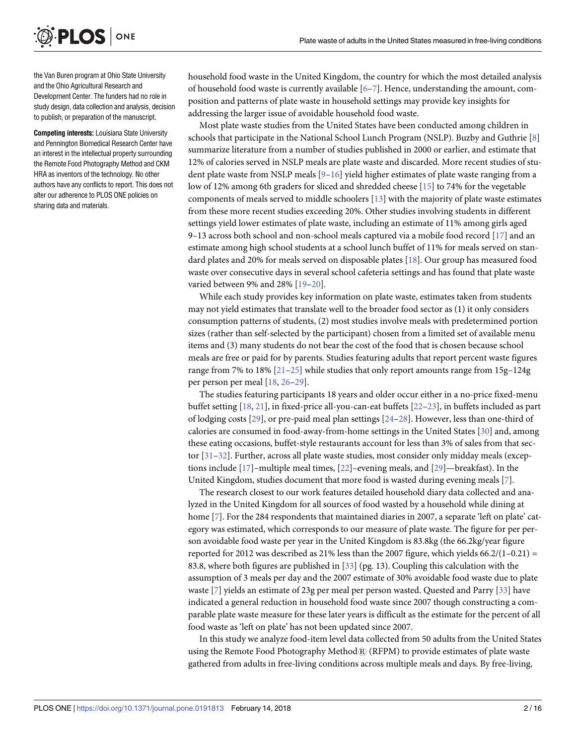<span id="page-1-0"></span>

the Van Buren program at Ohio State University and the Ohio Agricultural Research and Development Center. The funders had no role in study design, data collection and analysis, decision to publish, or preparation of the manuscript.

**Competing interests:** Louisiana State University and Pennington Biomedical Research Center have an interest in the intellectual property surrounding the Remote Food Photography Method and CKM HRA as inventors of the technology. No other authors have any conflicts to report. This does not alter our adherence to PLOS ONE policies on sharing data and materials.

household food waste in the United Kingdom, the country for which the most detailed analysis of household food waste is currently available [\[6–7\]](#page-14-0). Hence, understanding the amount, composition and patterns of plate waste in household settings may provide key insights for addressing the larger issue of avoidable household food waste.

Most plate waste studies from the United States have been conducted among children in schools that participate in the National School Lunch Program (NSLP). Buzby and Guthrie [[8\]](#page-14-0) summarize literature from a number of studies published in 2000 or earlier, and estimate that 12% of calories served in NSLP meals are plate waste and discarded. More recent studies of student plate waste from NSLP meals  $[9-16]$  yield higher estimates of plate waste ranging from a low of 12% among 6th graders for sliced and shredded cheese [\[15\]](#page-14-0) to 74% for the vegetable components of meals served to middle schoolers [[13](#page-14-0)] with the majority of plate waste estimates from these more recent studies exceeding 20%. Other studies involving students in different settings yield lower estimates of plate waste, including an estimate of 11% among girls aged 9–13 across both school and non-school meals captured via a mobile food record [[17](#page-14-0)] and an estimate among high school students at a school lunch buffet of 11% for meals served on standard plates and 20% for meals served on disposable plates [\[18\]](#page-14-0). Our group has measured food waste over consecutive days in several school cafeteria settings and has found that plate waste varied between 9% and 28% [[19–20\]](#page-14-0).

While each study provides key information on plate waste, estimates taken from students may not yield estimates that translate well to the broader food sector as (1) it only considers consumption patterns of students, (2) most studies involve meals with predetermined portion sizes (rather than self-selected by the participant) chosen from a limited set of available menu items and (3) many students do not bear the cost of the food that is chosen because school meals are free or paid for by parents. Studies featuring adults that report percent waste figures range from 7% to 18% [\[21–](#page-14-0)[25](#page-15-0)] while studies that only report amounts range from 15g–124g per person per meal [[18](#page-14-0), [26](#page-15-0)–[29](#page-15-0)].

The studies featuring participants 18 years and older occur either in a no-price fixed-menu buffet setting [[18](#page-14-0), [21](#page-14-0)], in fixed-price all-you-can-eat buffets [[22](#page-15-0)–[23](#page-15-0)], in buffets included as part of lodging costs [[29](#page-15-0)], or pre-paid meal plan settings [\[24–28](#page-15-0)]. However, less than one-third of calories are consumed in food-away-from-home settings in the United States [[30](#page-15-0)] and, among these eating occasions, buffet-style restaurants account for less than 3% of sales from that sector [\[31–32\]](#page-15-0). Further, across all plate waste studies, most consider only midday meals (exceptions include [\[17\]](#page-14-0)–multiple meal times, [\[22\]](#page-15-0)–evening meals, and [[29](#page-15-0)]—breakfast). In the United Kingdom, studies document that more food is wasted during evening meals [\[7](#page-14-0)].

The research closest to our work features detailed household diary data collected and analyzed in the United Kingdom for all sources of food wasted by a household while dining at home [\[7](#page-14-0)]. For the 284 respondents that maintained diaries in 2007, a separate 'left on plate' category was estimated, which corresponds to our measure of plate waste. The figure for per person avoidable food waste per year in the United Kingdom is 83.8kg (the 66.2kg/year figure reported for 2012 was described as 21% less than the 2007 figure, which yields  $66.2/(1-0.21)$  = 83.8, where both figures are published in [[33](#page-15-0)] (pg. 13). Coupling this calculation with the assumption of 3 meals per day and the 2007 estimate of 30% avoidable food waste due to plate waste [[7](#page-14-0)] yields an estimate of 23g per meal per person wasted. Quested and Parry [\[33\]](#page-15-0) have indicated a general reduction in household food waste since 2007 though constructing a comparable plate waste measure for these later years is difficult as the estimate for the percent of all food waste as 'left on plate' has not been updated since 2007.

In this study we analyze food-item level data collected from 50 adults from the United States using the Remote Food Photography Method® (RFPM) to provide estimates of plate waste gathered from adults in free-living conditions across multiple meals and days. By free-living,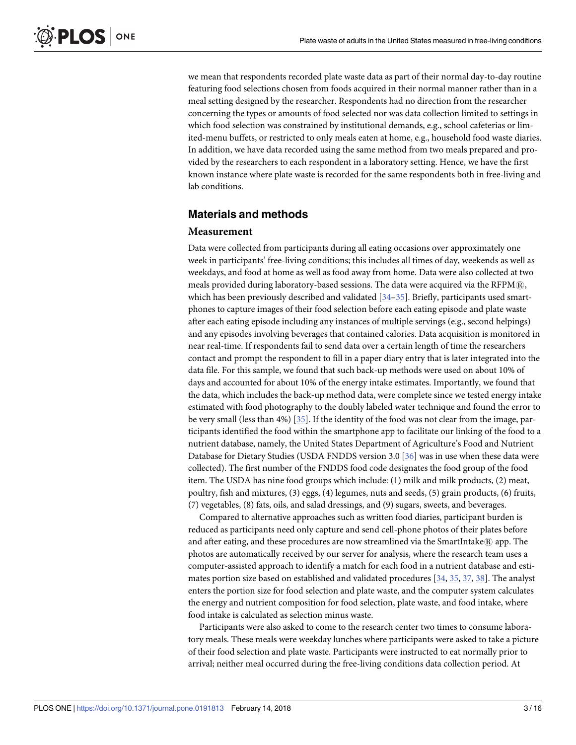<span id="page-2-0"></span>we mean that respondents recorded plate waste data as part of their normal day-to-day routine featuring food selections chosen from foods acquired in their normal manner rather than in a meal setting designed by the researcher. Respondents had no direction from the researcher concerning the types or amounts of food selected nor was data collection limited to settings in which food selection was constrained by institutional demands, e.g., school cafeterias or limited-menu buffets, or restricted to only meals eaten at home, e.g., household food waste diaries. In addition, we have data recorded using the same method from two meals prepared and provided by the researchers to each respondent in a laboratory setting. Hence, we have the first known instance where plate waste is recorded for the same respondents both in free-living and lab conditions.

#### **Materials and methods**

#### **Measurement**

Data were collected from participants during all eating occasions over approximately one week in participants' free-living conditions; this includes all times of day, weekends as well as weekdays, and food at home as well as food away from home. Data were also collected at two meals provided during laboratory-based sessions. The data were acquired via the RFPM $@$ , which has been previously described and validated [\[34–35](#page-15-0)]. Briefly, participants used smartphones to capture images of their food selection before each eating episode and plate waste after each eating episode including any instances of multiple servings (e.g., second helpings) and any episodes involving beverages that contained calories. Data acquisition is monitored in near real-time. If respondents fail to send data over a certain length of time the researchers contact and prompt the respondent to fill in a paper diary entry that is later integrated into the data file. For this sample, we found that such back-up methods were used on about 10% of days and accounted for about 10% of the energy intake estimates. Importantly, we found that the data, which includes the back-up method data, were complete since we tested energy intake estimated with food photography to the doubly labeled water technique and found the error to be very small (less than 4%) [\[35\]](#page-15-0). If the identity of the food was not clear from the image, participants identified the food within the smartphone app to facilitate our linking of the food to a nutrient database, namely, the United States Department of Agriculture's Food and Nutrient Database for Dietary Studies (USDA FNDDS version 3.0 [[36](#page-15-0)] was in use when these data were collected). The first number of the FNDDS food code designates the food group of the food item. The USDA has nine food groups which include: (1) milk and milk products, (2) meat, poultry, fish and mixtures, (3) eggs, (4) legumes, nuts and seeds, (5) grain products, (6) fruits, (7) vegetables, (8) fats, oils, and salad dressings, and (9) sugars, sweets, and beverages.

Compared to alternative approaches such as written food diaries, participant burden is reduced as participants need only capture and send cell-phone photos of their plates before and after eating, and these procedures are now streamlined via the SmartIntake $\mathbb{R}$  app. The photos are automatically received by our server for analysis, where the research team uses a computer-assisted approach to identify a match for each food in a nutrient database and estimates portion size based on established and validated procedures [\[34](#page-15-0), [35,](#page-15-0) [37](#page-15-0), [38](#page-15-0)]. The analyst enters the portion size for food selection and plate waste, and the computer system calculates the energy and nutrient composition for food selection, plate waste, and food intake, where food intake is calculated as selection minus waste.

Participants were also asked to come to the research center two times to consume laboratory meals. These meals were weekday lunches where participants were asked to take a picture of their food selection and plate waste. Participants were instructed to eat normally prior to arrival; neither meal occurred during the free-living conditions data collection period. At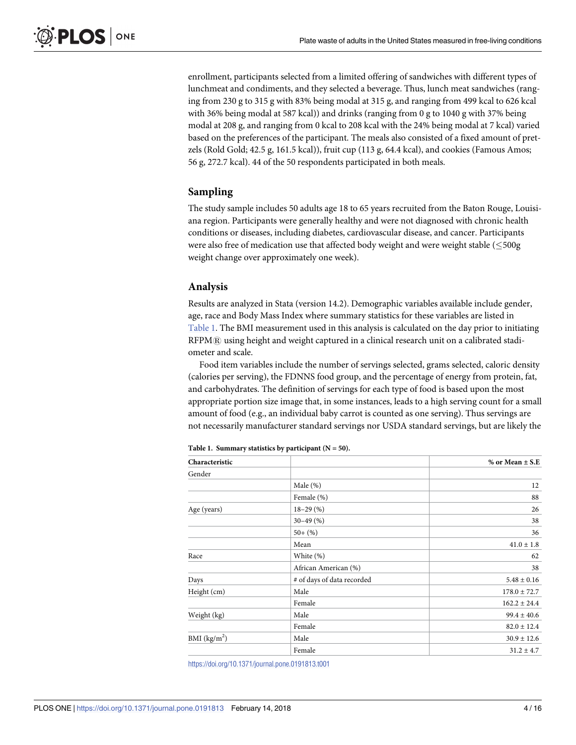enrollment, participants selected from a limited offering of sandwiches with different types of lunchmeat and condiments, and they selected a beverage. Thus, lunch meat sandwiches (ranging from 230 g to 315 g with 83% being modal at 315 g, and ranging from 499 kcal to 626 kcal with 36% being modal at 587 kcal)) and drinks (ranging from 0 g to 1040 g with 37% being modal at 208 g, and ranging from 0 kcal to 208 kcal with the 24% being modal at 7 kcal) varied based on the preferences of the participant. The meals also consisted of a fixed amount of pretzels (Rold Gold; 42.5 g, 161.5 kcal)), fruit cup (113 g, 64.4 kcal), and cookies (Famous Amos; 56 g, 272.7 kcal). 44 of the 50 respondents participated in both meals.

#### **Sampling**

The study sample includes 50 adults age 18 to 65 years recruited from the Baton Rouge, Louisiana region. Participants were generally healthy and were not diagnosed with chronic health conditions or diseases, including diabetes, cardiovascular disease, and cancer. Participants were also free of medication use that affected body weight and were weight stable  $(\leq 500$ g weight change over approximately one week).

#### **Analysis**

Results are analyzed in Stata (version 14.2). Demographic variables available include gender, age, race and Body Mass Index where summary statistics for these variables are listed in Table 1. The BMI measurement used in this analysis is calculated on the day prior to initiating RFPM $@$  using height and weight captured in a clinical research unit on a calibrated stadiometer and scale.

Food item variables include the number of servings selected, grams selected, caloric density (calories per serving), the FDNNS food group, and the percentage of energy from protein, fat, and carbohydrates. The definition of servings for each type of food is based upon the most appropriate portion size image that, in some instances, leads to a high serving count for a small amount of food (e.g., an individual baby carrot is counted as one serving). Thus servings are not necessarily manufacturer standard servings nor USDA standard servings, but are likely the

| Characteristic |                            | $%$ or Mean $\pm$ S.E |
|----------------|----------------------------|-----------------------|
| Gender         |                            |                       |
|                | Male $(\%)$                | 12                    |
|                | Female (%)                 | 88                    |
| Age (years)    | $18-29(%)$                 | 26                    |
|                | $30 - 49$ (%)              | 38                    |
|                | $50 + (%)$                 | 36                    |
|                | Mean                       | $41.0 \pm 1.8$        |
| Race           | White (%)                  | 62                    |
|                | African American (%)       | 38                    |
| Days           | # of days of data recorded | $5.48 \pm 0.16$       |
| Height (cm)    | Male                       | $178.0 \pm 72.7$      |
|                | Female                     | $162.2 \pm 24.4$      |
| Weight (kg)    | Male                       | $99.4 \pm 40.6$       |
|                | Female                     | $82.0 \pm 12.4$       |
| BMI $(kg/m2)$  | Male                       | $30.9 \pm 12.6$       |
|                | Female                     | $31.2 \pm 4.7$        |

**Table 1. Summary statistics by participant (N = 50).**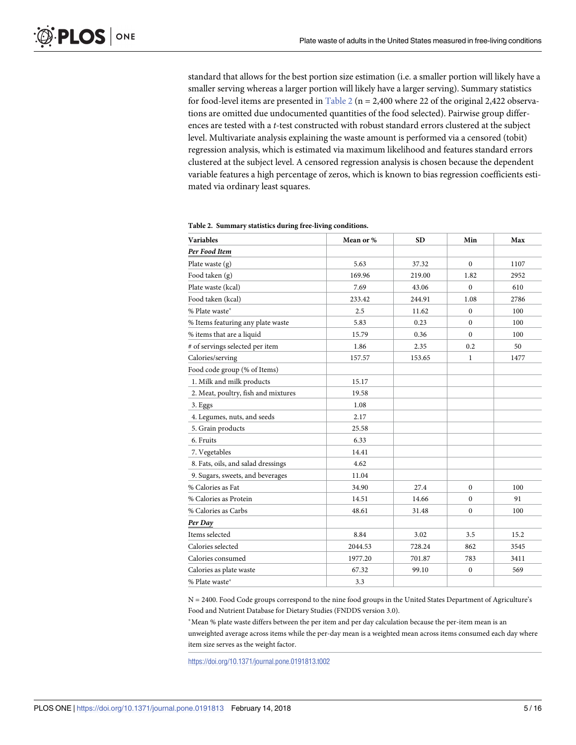<span id="page-4-0"></span>standard that allows for the best portion size estimation (i.e. a smaller portion will likely have a smaller serving whereas a larger portion will likely have a larger serving). Summary statistics for food-level items are presented in Table 2 ( $n = 2,400$  where 22 of the original 2,422 observations are omitted due undocumented quantities of the food selected). Pairwise group differences are tested with a *t*-test constructed with robust standard errors clustered at the subject level. Multivariate analysis explaining the waste amount is performed via a censored (tobit) regression analysis, which is estimated via maximum likelihood and features standard errors clustered at the subject level. A censored regression analysis is chosen because the dependent variable features a high percentage of zeros, which is known to bias regression coefficients estimated via ordinary least squares.

| <b>Variables</b>                    | Mean or % | <b>SD</b> | Min          | Max  |
|-------------------------------------|-----------|-----------|--------------|------|
| Per Food Item                       |           |           |              |      |
| Plate waste $(g)$                   | 5.63      | 37.32     | $\Omega$     | 1107 |
| Food taken (g)                      | 169.96    | 219.00    | 1.82         | 2952 |
| Plate waste (kcal)                  | 7.69      | 43.06     | $\Omega$     | 610  |
| Food taken (kcal)                   | 233.42    | 244.91    | 1.08         | 2786 |
| % Plate waste*                      | 2.5       | 11.62     | $\Omega$     | 100  |
| % Items featuring any plate waste   | 5.83      | 0.23      | $\Omega$     | 100  |
| % items that are a liquid           | 15.79     | 0.36      | $\theta$     | 100  |
| # of servings selected per item     | 1.86      | 2.35      | 0.2          | 50   |
| Calories/serving                    | 157.57    | 153.65    | 1            | 1477 |
| Food code group (% of Items)        |           |           |              |      |
| 1. Milk and milk products           | 15.17     |           |              |      |
| 2. Meat, poultry, fish and mixtures | 19.58     |           |              |      |
| 3. Eggs                             | 1.08      |           |              |      |
| 4. Legumes, nuts, and seeds         | 2.17      |           |              |      |
| 5. Grain products                   | 25.58     |           |              |      |
| 6. Fruits                           | 6.33      |           |              |      |
| 7. Vegetables                       | 14.41     |           |              |      |
| 8. Fats, oils, and salad dressings  | 4.62      |           |              |      |
| 9. Sugars, sweets, and beverages    | 11.04     |           |              |      |
| % Calories as Fat                   | 34.90     | 27.4      | $\Omega$     | 100  |
| % Calories as Protein               | 14.51     | 14.66     | $\Omega$     | 91   |
| % Calories as Carbs                 | 48.61     | 31.48     | $\bf{0}$     | 100  |
| Per Day                             |           |           |              |      |
| Items selected                      | 8.84      | 3.02      | 3.5          | 15.2 |
| Calories selected                   | 2044.53   | 728.24    | 862          | 3545 |
| Calories consumed                   | 1977.20   | 701.87    | 783          | 3411 |
| Calories as plate waste             | 67.32     | 99.10     | $\mathbf{0}$ | 569  |
| % Plate waste*                      | 3.3       |           |              |      |

**Table 2. Summary statistics during free-living conditions.**

N = 2400. Food Code groups correspond to the nine food groups in the United States Department of Agriculture's Food and Nutrient Database for Dietary Studies (FNDDS version 3.0).

Mean % plate waste differs between the per item and per day calculation because the per-item mean is an unweighted average across items while the per-day mean is a weighted mean across items consumed each day where item size serves as the weight factor.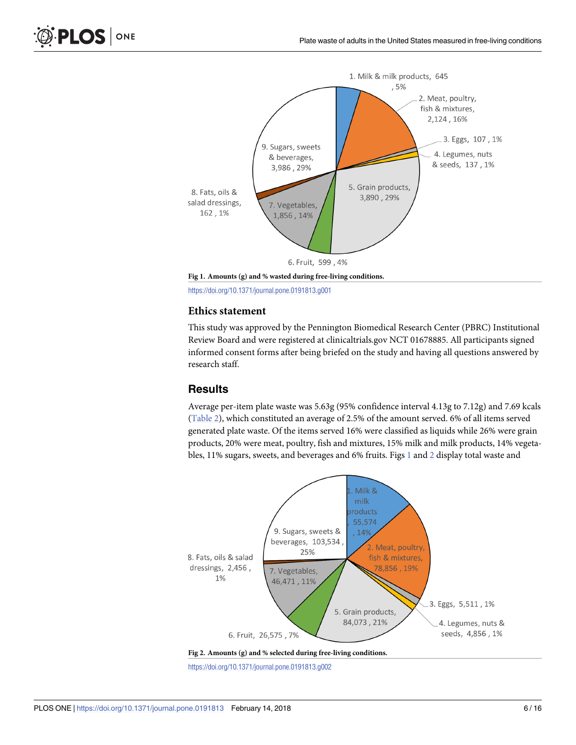<span id="page-5-0"></span>

**Fig 1. Amounts (g) and % wasted during free-living conditions.**

#### **Ethics statement**

This study was approved by the Pennington Biomedical Research Center (PBRC) Institutional Review Board and were registered at clinicaltrials.gov NCT 01678885. All participants signed informed consent forms after being briefed on the study and having all questions answered by research staff.

#### **Results**

Average per-item plate waste was 5.63g (95% confidence interval 4.13g to 7.12g) and 7.69 kcals [\(Table](#page-4-0) 2), which constituted an average of 2.5% of the amount served. 6% of all items served generated plate waste. Of the items served 16% were classified as liquids while 26% were grain products, 20% were meat, poultry, fish and mixtures, 15% milk and milk products, 14% vegetables, 11% sugars, sweets, and beverages and 6% fruits. Figs  $1$  and  $2$  display total waste and



https://doi.org/10.1371/journal.pone.0191813.g002

https://doi.org/10.1371/journal.pone.0191813.g001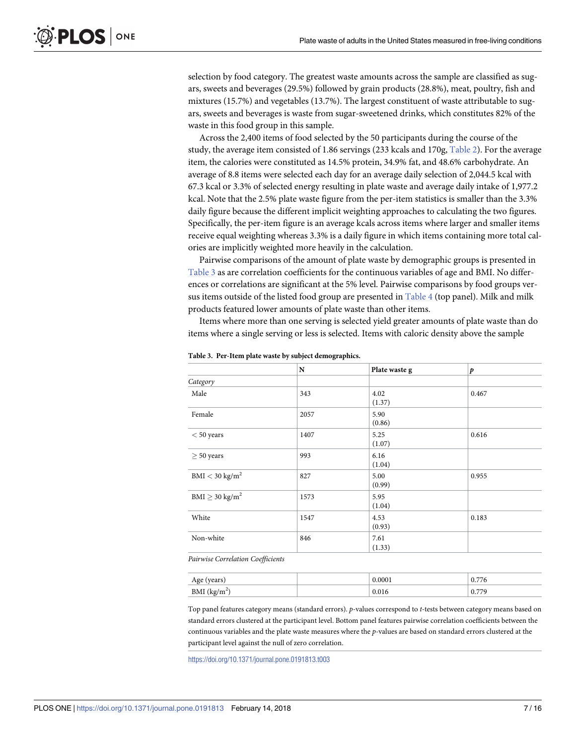<span id="page-6-0"></span>selection by food category. The greatest waste amounts across the sample are classified as sugars, sweets and beverages (29.5%) followed by grain products (28.8%), meat, poultry, fish and mixtures (15.7%) and vegetables (13.7%). The largest constituent of waste attributable to sugars, sweets and beverages is waste from sugar-sweetened drinks, which constitutes 82% of the waste in this food group in this sample.

Across the 2,400 items of food selected by the 50 participants during the course of the study, the average item consisted of 1.86 servings (233 kcals and 170g, [Table](#page-4-0) 2). For the average item, the calories were constituted as 14.5% protein, 34.9% fat, and 48.6% carbohydrate. An average of 8.8 items were selected each day for an average daily selection of 2,044.5 kcal with 67.3 kcal or 3.3% of selected energy resulting in plate waste and average daily intake of 1,977.2 kcal. Note that the 2.5% plate waste figure from the per-item statistics is smaller than the 3.3% daily figure because the different implicit weighting approaches to calculating the two figures. Specifically, the per-item figure is an average kcals across items where larger and smaller items receive equal weighting whereas 3.3% is a daily figure in which items containing more total calories are implicitly weighted more heavily in the calculation.

Pairwise comparisons of the amount of plate waste by demographic groups is presented in Table 3 as are correlation coefficients for the continuous variables of age and BMI. No differences or correlations are significant at the 5% level. Pairwise comparisons by food groups versus items outside of the listed food group are presented in [Table](#page-7-0) 4 (top panel). Milk and milk products featured lower amounts of plate waste than other items.

Items where more than one serving is selected yield greater amounts of plate waste than do items where a single serving or less is selected. Items with caloric density above the sample

|                                     | ${\bf N}$ | Plate waste g  | $\boldsymbol{p}$ |
|-------------------------------------|-----------|----------------|------------------|
| Category                            |           |                |                  |
| Male                                | 343       | 4.02<br>(1.37) | 0.467            |
| Female                              | 2057      | 5.90<br>(0.86) |                  |
| $< 50$ years                        | 1407      | 5.25<br>(1.07) | 0.616            |
| $\geq 50$ years                     | 993       | 6.16<br>(1.04) |                  |
| $BMI < 30$ kg/m <sup>2</sup>        | 827       | 5.00<br>(0.99) | 0.955            |
| $\text{BMI} \geq 30 \text{ kg/m}^2$ | 1573      | 5.95<br>(1.04) |                  |
| White                               | 1547      | 4.53<br>(0.93) | 0.183            |
| Non-white                           | 846       | 7.61<br>(1.33) |                  |

**Table 3. Per-Item plate waste by subject demographics.**

*Pairwise Correlation Coefficients*

| $\cdots$<br>cals<br>. | 0.000.               | $\overline{a}$<br>0.7<br>$^{\prime}$ / 0 |
|-----------------------|----------------------|------------------------------------------|
| Div11 (ng/m)          | 0.01<br><b>0.010</b> | 779<br>0.7                               |

Top panel features category means (standard errors). *p*-values correspond to *t-*tests between category means based on standard errors clustered at the participant level. Bottom panel features pairwise correlation coefficients between the continuous variables and the plate waste measures where the *p*-values are based on standard errors clustered at the participant level against the null of zero correlation.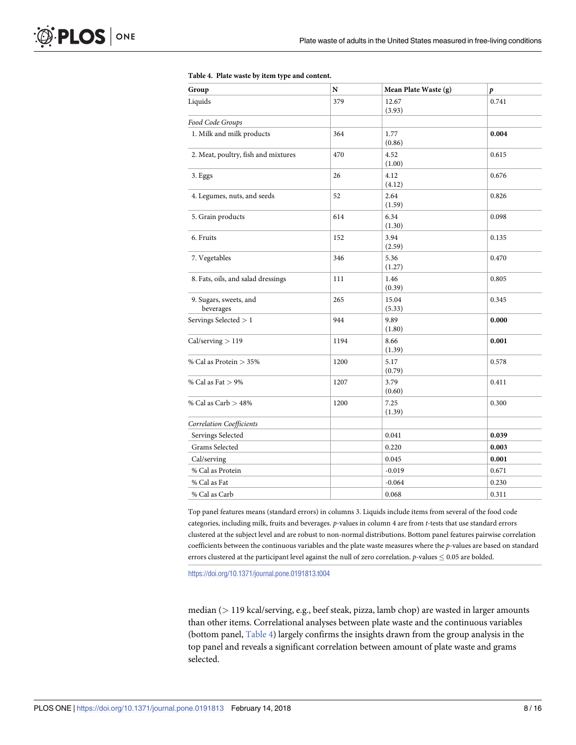<span id="page-7-0"></span>

| Group                               | N    | Mean Plate Waste (g) | p     |
|-------------------------------------|------|----------------------|-------|
| Liquids                             | 379  | 12.67<br>(3.93)      | 0.741 |
| Food Code Groups                    |      |                      |       |
| 1. Milk and milk products           | 364  | 1.77<br>(0.86)       | 0.004 |
| 2. Meat, poultry, fish and mixtures | 470  | 4.52<br>(1.00)       | 0.615 |
| 3. Eggs                             | 26   | 4.12<br>(4.12)       | 0.676 |
| 4. Legumes, nuts, and seeds         | 52   | 2.64<br>(1.59)       | 0.826 |
| 5. Grain products                   | 614  | 6.34<br>(1.30)       | 0.098 |
| 6. Fruits                           | 152  | 3.94<br>(2.59)       | 0.135 |
| 7. Vegetables                       | 346  | 5.36<br>(1.27)       | 0.470 |
| 8. Fats, oils, and salad dressings  | 111  | 1.46<br>(0.39)       | 0.805 |
| 9. Sugars, sweets, and<br>beverages | 265  | 15.04<br>(5.33)      | 0.345 |
| Servings Selected > 1               | 944  | 9.89<br>(1.80)       | 0.000 |
| Cal/serving > 119                   | 1194 | 8.66<br>(1.39)       | 0.001 |
| % Cal as Protein > 35%              | 1200 | 5.17<br>(0.79)       | 0.578 |
| % Cal as Fat $> 9\%$                | 1207 | 3.79<br>(0.60)       | 0.411 |
| $\%$ Cal as Carb $>48\%$            | 1200 | 7.25<br>(1.39)       | 0.300 |
| <b>Correlation Coefficients</b>     |      |                      |       |
| Servings Selected                   |      | 0.041                | 0.039 |
| Grams Selected                      |      | 0.220                | 0.003 |
| Cal/serving                         |      | 0.045                | 0.001 |
| % Cal as Protein                    |      | $-0.019$             | 0.671 |
| % Cal as Fat                        |      | $-0.064$             | 0.230 |
| % Cal as Carb                       |      | 0.068                | 0.311 |

#### **[Table](#page-6-0) 4. Plate waste by item type and content.**

Top panel features means (standard errors) in columns 3. Liquids include items from several of the food code categories, including milk, fruits and beverages. *p*-values in column 4 are from *t-*tests that use standard errors clustered at the subject level and are robust to non-normal distributions. Bottom panel features pairwise correlation coefficients between the continuous variables and the plate waste measures where the *p*-values are based on standard errors clustered at the participant level against the null of zero correlation.  $p$ -values  $\leq 0.05$  are bolded.

https://doi.org/10.1371/journal.pone.0191813.t004

median (*>* 119 kcal/serving, e.g., beef steak, pizza, lamb chop) are wasted in larger amounts than other items. Correlational analyses between plate waste and the continuous variables (bottom panel, Table 4) largely confirms the insights drawn from the group analysis in the top panel and reveals a significant correlation between amount of plate waste and grams selected.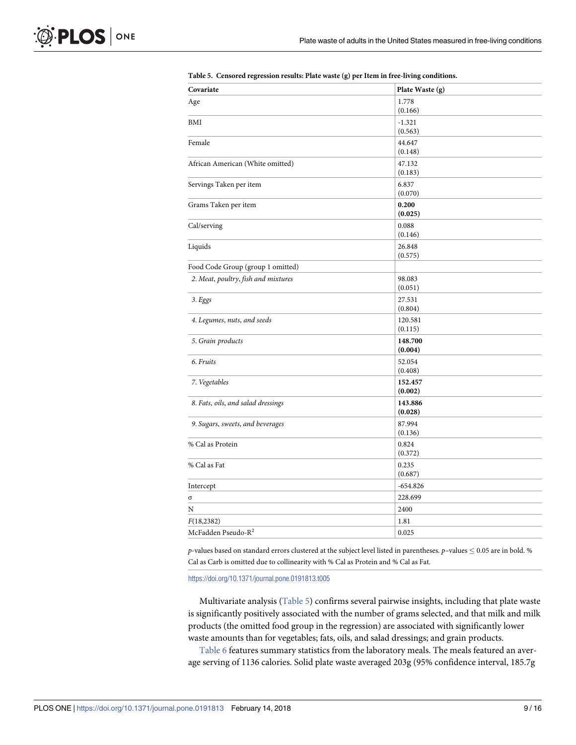| Covariate                           | Plate Waste (g)   |
|-------------------------------------|-------------------|
| Age                                 | 1.778             |
|                                     | (0.166)           |
| BMI                                 | $-1.321$          |
|                                     | (0.563)           |
| Female                              | 44.647            |
|                                     | (0.148)           |
| African American (White omitted)    | 47.132            |
|                                     | (0.183)           |
| Servings Taken per item             | 6.837             |
|                                     | (0.070)           |
| Grams Taken per item                | 0.200             |
|                                     | (0.025)           |
| Cal/serving                         | 0.088<br>(0.146)  |
|                                     |                   |
| Liquids                             | 26.848<br>(0.575) |
| Food Code Group (group 1 omitted)   |                   |
|                                     |                   |
| 2. Meat, poultry, fish and mixtures | 98.083<br>(0.051) |
| 3. Eggs                             | 27.531            |
|                                     | (0.804)           |
| 4. Legumes, nuts, and seeds         | 120.581           |
|                                     | (0.115)           |
| 5. Grain products                   | 148.700           |
|                                     | (0.004)           |
| 6. Fruits                           | 52.054            |
|                                     | (0.408)           |
| 7. Vegetables                       | 152.457           |
|                                     | (0.002)           |
| 8. Fats, oils, and salad dressings  | 143.886           |
|                                     | (0.028)           |
| 9. Sugars, sweets, and beverages    | 87.994            |
|                                     | (0.136)           |
| % Cal as Protein                    | 0.824             |
|                                     | (0.372)           |
| % Cal as Fat                        | 0.235<br>(0.687)  |
|                                     |                   |
| Intercept                           | $-654.826$        |
| σ                                   | 228.699           |
| N                                   | 2400              |
| F(18, 2382)                         | 1.81              |
| McFadden Pseudo-R <sup>2</sup>      | 0.025             |

<span id="page-8-0"></span>

|  | Table 5. Censored regression results: Plate waste (g) per Item in free-living conditions. |  |  |  |  |  |
|--|-------------------------------------------------------------------------------------------|--|--|--|--|--|
|--|-------------------------------------------------------------------------------------------|--|--|--|--|--|

*p*-values based on standard errors clustered at the subject level listed in parentheses. *p*-values  $\leq 0.05$  are in bold. % Cal as Carb is omitted due to collinearity with % Cal as Protein and % Cal as Fat.

https://doi.org/10.1371/journal.pone.0191813.t005

Multivariate analysis (Table 5) confirms several pairwise insights, including that plate waste is significantly positively associated with the number of grams selected, and that milk and milk products (the omitted food group in the regression) are associated with significantly lower waste amounts than for vegetables; fats, oils, and salad dressings; and grain products.

[Table](#page-9-0) 6 features summary statistics from the laboratory meals. The meals featured an average serving of 1136 calories. Solid plate waste averaged 203g (95% confidence interval, 185.7g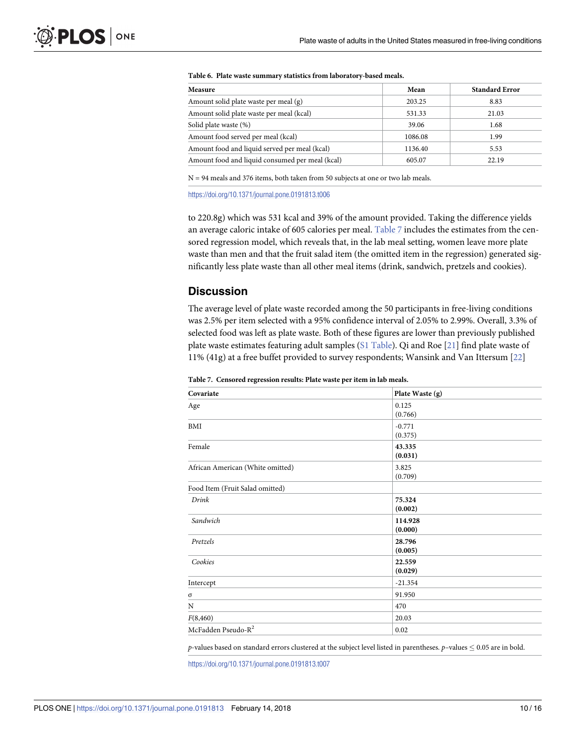| Measure                                         | Mean    | <b>Standard Error</b> |
|-------------------------------------------------|---------|-----------------------|
| Amount solid plate waste per meal (g)           | 203.25  | 8.83                  |
| Amount solid plate waste per meal (kcal)        | 531.33  | 21.03                 |
| Solid plate waste (%)                           | 39.06   | 1.68                  |
| Amount food served per meal (kcal)              | 1086.08 | 1.99                  |
| Amount food and liquid served per meal (kcal)   | 1136.40 | 5.53                  |
| Amount food and liquid consumed per meal (kcal) | 605.07  | 22.19                 |

#### <span id="page-9-0"></span>**[Table](#page-8-0) 6. Plate waste summary statistics from laboratory-based meals.**

N = 94 meals and 376 items, both taken from 50 subjects at one or two lab meals.

https://doi.org/10.1371/journal.pone.0191813.t006

to 220.8g) which was 531 kcal and 39% of the amount provided. Taking the difference yields an average caloric intake of 605 calories per meal. Table 7 includes the estimates from the censored regression model, which reveals that, in the lab meal setting, women leave more plate waste than men and that the fruit salad item (the omitted item in the regression) generated significantly less plate waste than all other meal items (drink, sandwich, pretzels and cookies).

### **Discussion**

The average level of plate waste recorded among the 50 participants in free-living conditions was 2.5% per item selected with a 95% confidence interval of 2.05% to 2.99%. Overall, 3.3% of selected food was left as plate waste. Both of these figures are lower than previously published plate waste estimates featuring adult samples (S1 [Table\)](#page-13-0). Qi and Roe [\[21\]](#page-14-0) find plate waste of 11% (41g) at a free buffet provided to survey respondents; Wansink and Van Ittersum [[22](#page-15-0)]

**Table 7. Censored regression results: Plate waste per item in lab meals.**

| Plate Waste (g)     |  |
|---------------------|--|
| 0.125<br>(0.766)    |  |
| $-0.771$<br>(0.375) |  |
| 43.335<br>(0.031)   |  |
| 3.825<br>(0.709)    |  |
|                     |  |
| 75.324<br>(0.002)   |  |
| 114.928<br>(0.000)  |  |
| 28.796<br>(0.005)   |  |
| 22.559<br>(0.029)   |  |
| $-21.354$           |  |
| 91.950              |  |
| 470                 |  |
| 20.03               |  |
| 0.02                |  |
|                     |  |

*p*-values based on standard errors clustered at the subject level listed in parentheses. *p*-values  $\leq 0.05$  are in bold.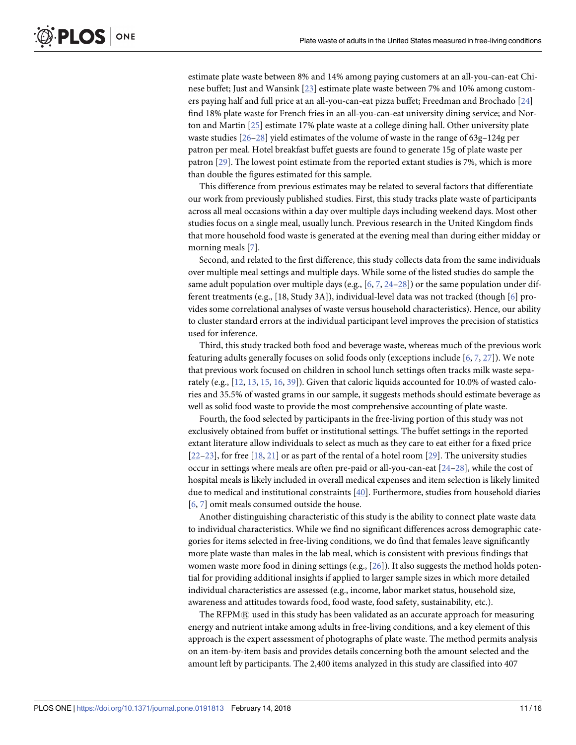<span id="page-10-0"></span>estimate plate waste between 8% and 14% among paying customers at an all-you-can-eat Chinese buffet; Just and Wansink [\[23\]](#page-15-0) estimate plate waste between 7% and 10% among customers paying half and full price at an all-you-can-eat pizza buffet; Freedman and Brochado [[24](#page-15-0)] find 18% plate waste for French fries in an all-you-can-eat university dining service; and Norton and Martin [[25](#page-15-0)] estimate 17% plate waste at a college dining hall. Other university plate waste studies [\[26–28\]](#page-15-0) yield estimates of the volume of waste in the range of 63g–124g per patron per meal. Hotel breakfast buffet guests are found to generate 15g of plate waste per patron [\[29\]](#page-15-0). The lowest point estimate from the reported extant studies is 7%, which is more than double the figures estimated for this sample.

This difference from previous estimates may be related to several factors that differentiate our work from previously published studies. First, this study tracks plate waste of participants across all meal occasions within a day over multiple days including weekend days. Most other studies focus on a single meal, usually lunch. Previous research in the United Kingdom finds that more household food waste is generated at the evening meal than during either midday or morning meals [[7\]](#page-14-0).

Second, and related to the first difference, this study collects data from the same individuals over multiple meal settings and multiple days. While some of the listed studies do sample the same adult population over multiple days (e.g.,  $[6, 7, 24-28]$  $[6, 7, 24-28]$  $[6, 7, 24-28]$  $[6, 7, 24-28]$ ) or the same population under different treatments (e.g., [18, Study 3A]), individual-level data was not tracked (though [[6\]](#page-14-0) provides some correlational analyses of waste versus household characteristics). Hence, our ability to cluster standard errors at the individual participant level improves the precision of statistics used for inference.

Third, this study tracked both food and beverage waste, whereas much of the previous work featuring adults generally focuses on solid foods only (exceptions include [\[6,](#page-14-0) [7](#page-14-0), [27](#page-15-0)]). We note that previous work focused on children in school lunch settings often tracks milk waste separately (e.g., [\[12,](#page-14-0) [13,](#page-14-0) [15,](#page-14-0) [16,](#page-14-0) [39\]](#page-15-0)). Given that caloric liquids accounted for 10.0% of wasted calories and 35.5% of wasted grams in our sample, it suggests methods should estimate beverage as well as solid food waste to provide the most comprehensive accounting of plate waste.

Fourth, the food selected by participants in the free-living portion of this study was not exclusively obtained from buffet or institutional settings. The buffet settings in the reported extant literature allow individuals to select as much as they care to eat either for a fixed price [\[22–23\]](#page-15-0), for free [[18](#page-14-0), [21](#page-14-0)] or as part of the rental of a hotel room [\[29\]](#page-15-0). The university studies occur in settings where meals are often pre-paid or all-you-can-eat [[24–28\]](#page-15-0), while the cost of hospital meals is likely included in overall medical expenses and item selection is likely limited due to medical and institutional constraints [[40](#page-15-0)]. Furthermore, studies from household diaries [\[6](#page-14-0), [7](#page-14-0)] omit meals consumed outside the house.

Another distinguishing characteristic of this study is the ability to connect plate waste data to individual characteristics. While we find no significant differences across demographic categories for items selected in free-living conditions, we do find that females leave significantly more plate waste than males in the lab meal, which is consistent with previous findings that women waste more food in dining settings (e.g., [[26](#page-15-0)]). It also suggests the method holds potential for providing additional insights if applied to larger sample sizes in which more detailed individual characteristics are assessed (e.g., income, labor market status, household size, awareness and attitudes towards food, food waste, food safety, sustainability, etc.).

The  $RFPMR$  used in this study has been validated as an accurate approach for measuring energy and nutrient intake among adults in free-living conditions, and a key element of this approach is the expert assessment of photographs of plate waste. The method permits analysis on an item-by-item basis and provides details concerning both the amount selected and the amount left by participants. The 2,400 items analyzed in this study are classified into 407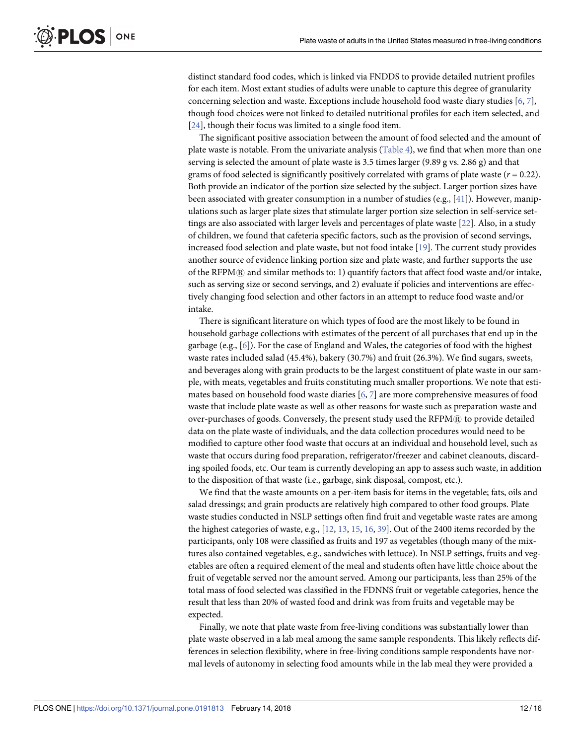<span id="page-11-0"></span>distinct standard food codes, which is linked via FNDDS to provide detailed nutrient profiles for each item. Most extant studies of adults were unable to capture this degree of granularity concerning selection and waste. Exceptions include household food waste diary studies [[6](#page-14-0), [7\]](#page-14-0), though food choices were not linked to detailed nutritional profiles for each item selected, and [\[24\]](#page-15-0), though their focus was limited to a single food item.

The significant positive association between the amount of food selected and the amount of plate waste is notable. From the univariate analysis [\(Table](#page-7-0) 4), we find that when more than one serving is selected the amount of plate waste is 3.5 times larger (9.89 g vs. 2.86 g) and that grams of food selected is significantly positively correlated with grams of plate waste  $(r = 0.22)$ . Both provide an indicator of the portion size selected by the subject. Larger portion sizes have been associated with greater consumption in a number of studies (e.g., [\[41\]](#page-15-0)). However, manipulations such as larger plate sizes that stimulate larger portion size selection in self-service settings are also associated with larger levels and percentages of plate waste [[22](#page-15-0)]. Also, in a study of children, we found that cafeteria specific factors, such as the provision of second servings, increased food selection and plate waste, but not food intake [[19](#page-14-0)]. The current study provides another source of evidence linking portion size and plate waste, and further supports the use of the RFPM $@$  and similar methods to: 1) quantify factors that affect food waste and/or intake, such as serving size or second servings, and 2) evaluate if policies and interventions are effectively changing food selection and other factors in an attempt to reduce food waste and/or intake.

There is significant literature on which types of food are the most likely to be found in household garbage collections with estimates of the percent of all purchases that end up in the garbage (e.g., [[6\]](#page-14-0)). For the case of England and Wales, the categories of food with the highest waste rates included salad (45.4%), bakery (30.7%) and fruit (26.3%). We find sugars, sweets, and beverages along with grain products to be the largest constituent of plate waste in our sample, with meats, vegetables and fruits constituting much smaller proportions. We note that estimates based on household food waste diaries [[6](#page-14-0), [7\]](#page-14-0) are more comprehensive measures of food waste that include plate waste as well as other reasons for waste such as preparation waste and over-purchases of goods. Conversely, the present study used the RFPM® to provide detailed data on the plate waste of individuals, and the data collection procedures would need to be modified to capture other food waste that occurs at an individual and household level, such as waste that occurs during food preparation, refrigerator/freezer and cabinet cleanouts, discarding spoiled foods, etc. Our team is currently developing an app to assess such waste, in addition to the disposition of that waste (i.e., garbage, sink disposal, compost, etc.).

We find that the waste amounts on a per-item basis for items in the vegetable; fats, oils and salad dressings; and grain products are relatively high compared to other food groups. Plate waste studies conducted in NSLP settings often find fruit and vegetable waste rates are among the highest categories of waste, e.g., [\[12,](#page-14-0) [13,](#page-14-0) [15,](#page-14-0) [16,](#page-14-0) [39\]](#page-15-0). Out of the 2400 items recorded by the participants, only 108 were classified as fruits and 197 as vegetables (though many of the mixtures also contained vegetables, e.g., sandwiches with lettuce). In NSLP settings, fruits and vegetables are often a required element of the meal and students often have little choice about the fruit of vegetable served nor the amount served. Among our participants, less than 25% of the total mass of food selected was classified in the FDNNS fruit or vegetable categories, hence the result that less than 20% of wasted food and drink was from fruits and vegetable may be expected.

Finally, we note that plate waste from free-living conditions was substantially lower than plate waste observed in a lab meal among the same sample respondents. This likely reflects differences in selection flexibility, where in free-living conditions sample respondents have normal levels of autonomy in selecting food amounts while in the lab meal they were provided a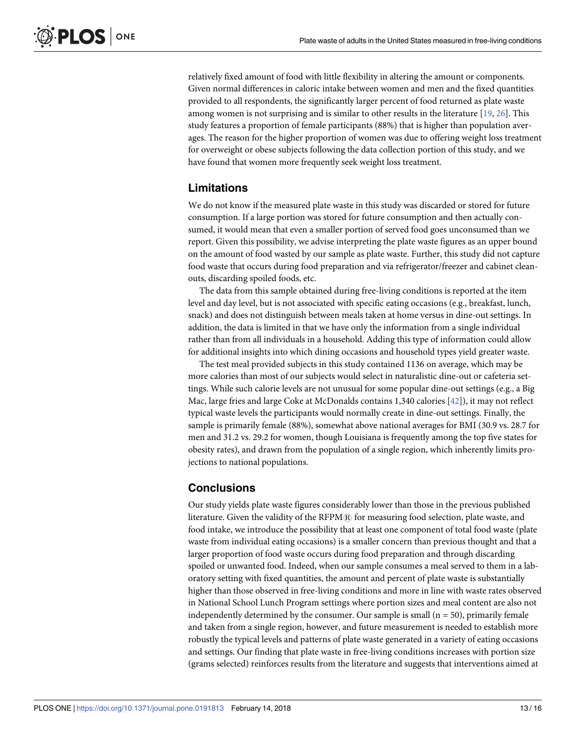<span id="page-12-0"></span>relatively fixed amount of food with little flexibility in altering the amount or components. Given normal differences in caloric intake between women and men and the fixed quantities provided to all respondents, the significantly larger percent of food returned as plate waste among women is not surprising and is similar to other results in the literature [[19](#page-14-0), [26](#page-15-0)]. This study features a proportion of female participants (88%) that is higher than population averages. The reason for the higher proportion of women was due to offering weight loss treatment for overweight or obese subjects following the data collection portion of this study, and we have found that women more frequently seek weight loss treatment.

### **Limitations**

We do not know if the measured plate waste in this study was discarded or stored for future consumption. If a large portion was stored for future consumption and then actually consumed, it would mean that even a smaller portion of served food goes unconsumed than we report. Given this possibility, we advise interpreting the plate waste figures as an upper bound on the amount of food wasted by our sample as plate waste. Further, this study did not capture food waste that occurs during food preparation and via refrigerator/freezer and cabinet cleanouts, discarding spoiled foods, etc.

The data from this sample obtained during free-living conditions is reported at the item level and day level, but is not associated with specific eating occasions (e.g., breakfast, lunch, snack) and does not distinguish between meals taken at home versus in dine-out settings. In addition, the data is limited in that we have only the information from a single individual rather than from all individuals in a household. Adding this type of information could allow for additional insights into which dining occasions and household types yield greater waste.

The test meal provided subjects in this study contained 1136 on average, which may be more calories than most of our subjects would select in naturalistic dine-out or cafeteria settings. While such calorie levels are not unusual for some popular dine-out settings (e.g., a Big Mac, large fries and large Coke at McDonalds contains 1,340 calories [[42](#page-15-0)]), it may not reflect typical waste levels the participants would normally create in dine-out settings. Finally, the sample is primarily female (88%), somewhat above national averages for BMI (30.9 vs. 28.7 for men and 31.2 vs. 29.2 for women, though Louisiana is frequently among the top five states for obesity rates), and drawn from the population of a single region, which inherently limits projections to national populations.

## **Conclusions**

Our study yields plate waste figures considerably lower than those in the previous published literature. Given the validity of the RFPM® for measuring food selection, plate waste, and food intake, we introduce the possibility that at least one component of total food waste (plate waste from individual eating occasions) is a smaller concern than previous thought and that a larger proportion of food waste occurs during food preparation and through discarding spoiled or unwanted food. Indeed, when our sample consumes a meal served to them in a laboratory setting with fixed quantities, the amount and percent of plate waste is substantially higher than those observed in free-living conditions and more in line with waste rates observed in National School Lunch Program settings where portion sizes and meal content are also not independently determined by the consumer. Our sample is small  $(n = 50)$ , primarily female and taken from a single region, however, and future measurement is needed to establish more robustly the typical levels and patterns of plate waste generated in a variety of eating occasions and settings. Our finding that plate waste in free-living conditions increases with portion size (grams selected) reinforces results from the literature and suggests that interventions aimed at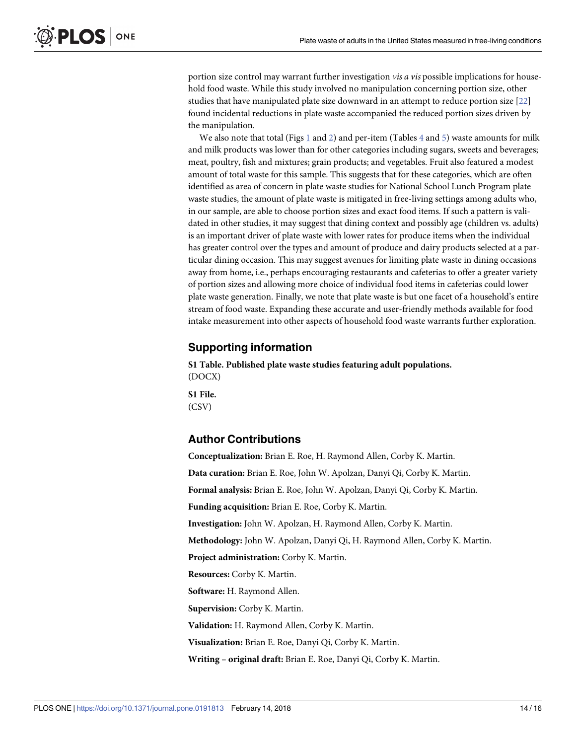<span id="page-13-0"></span>portion size control may warrant further investigation *vis a vis* possible implications for household food waste. While this study involved no manipulation concerning portion size, other studies that have manipulated plate size downward in an attempt to reduce portion size [[22](#page-15-0)] found incidental reductions in plate waste accompanied the reduced portion sizes driven by the manipulation.

We also note that total (Figs  $1$  and  $2$ ) and per-item (Tables  $4$  and  $5$ ) waste amounts for milk and milk products was lower than for other categories including sugars, sweets and beverages; meat, poultry, fish and mixtures; grain products; and vegetables. Fruit also featured a modest amount of total waste for this sample. This suggests that for these categories, which are often identified as area of concern in plate waste studies for National School Lunch Program plate waste studies, the amount of plate waste is mitigated in free-living settings among adults who, in our sample, are able to choose portion sizes and exact food items. If such a pattern is validated in other studies, it may suggest that dining context and possibly age (children vs. adults) is an important driver of plate waste with lower rates for produce items when the individual has greater control over the types and amount of produce and dairy products selected at a particular dining occasion. This may suggest avenues for limiting plate waste in dining occasions away from home, i.e., perhaps encouraging restaurants and cafeterias to offer a greater variety of portion sizes and allowing more choice of individual food items in cafeterias could lower plate waste generation. Finally, we note that plate waste is but one facet of a household's entire stream of food waste. Expanding these accurate and user-friendly methods available for food intake measurement into other aspects of household food waste warrants further exploration.

#### **Supporting information**

**S1 Table. Published plate waste studies featuring adult populations.** (DOCX)

**S1 File.** (CSV)

#### **Author Contributions**

**Conceptualization:** Brian E. Roe, H. Raymond Allen, Corby K. Martin. **Data curation:** Brian E. Roe, John W. Apolzan, Danyi Qi, Corby K. Martin. **Formal analysis:** Brian E. Roe, John W. Apolzan, Danyi Qi, Corby K. Martin. **Funding acquisition:** Brian E. Roe, Corby K. Martin. **Investigation:** John W. Apolzan, H. Raymond Allen, Corby K. Martin. **Methodology:** John W. Apolzan, Danyi Qi, H. Raymond Allen, Corby K. Martin. **Project administration:** Corby K. Martin. **Resources:** Corby K. Martin. **Software:** H. Raymond Allen. **Supervision:** Corby K. Martin. **Validation:** H. Raymond Allen, Corby K. Martin. **Visualization:** Brian E. Roe, Danyi Qi, Corby K. Martin. **Writing – original draft:** Brian E. Roe, Danyi Qi, Corby K. Martin.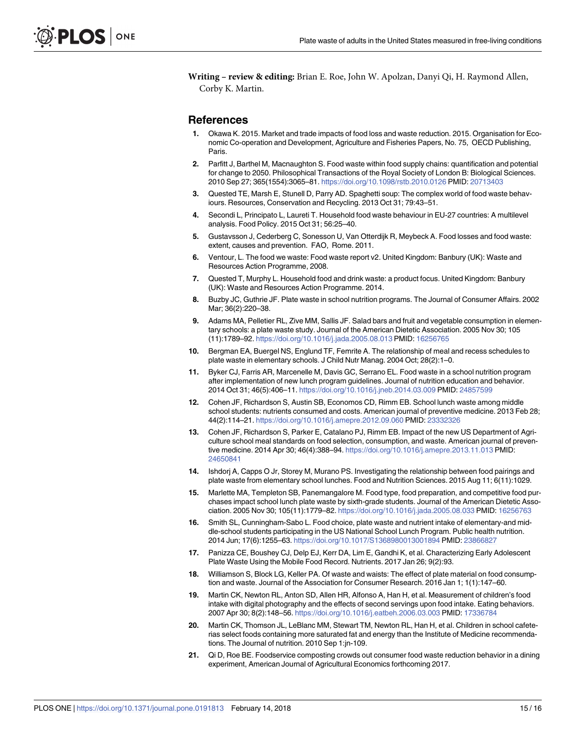<span id="page-14-0"></span>**Writing – review & editing:** Brian E. Roe, John W. Apolzan, Danyi Qi, H. Raymond Allen, Corby K. Martin.

#### **References**

- **[1](#page-0-0).** Okawa K. 2015. Market and trade impacts of food loss and waste reduction. 2015. Organisation for Economic Co-operation and Development, Agriculture and Fisheries Papers, No. 75, OECD Publishing, Paris.
- **2.** Parfitt J, Barthel M, Macnaughton S. Food waste within food supply chains: quantification and potential for change to 2050. Philosophical Transactions of the Royal Society of London B: Biological Sciences. 2010 Sep 27; 365(1554):3065–81. https://doi.org/10.1098/rstb.2010.0126 PMID: 20713403
- **3.** Quested TE, Marsh E, Stunell D, Parry AD. Spaghetti soup: The complex world of food waste behaviours. Resources, Conservation and Recycling. 2013 Oct 31; 79:43–51.
- **[4](#page-0-0).** Secondi L, Principato L, Laureti T. Household food waste behaviour in EU-27 countries: A multilevel analysis. Food Policy. 2015 Oct 31; 56:25–40.
- **[5](#page-0-0).** Gustavsson J, Cederberg C, Sonesson U, Van Otterdijk R, Meybeck A. Food losses and food waste: extent, causes and prevention. FAO, Rome. 2011.
- **[6](#page-1-0).** Ventour, L. The food we waste: Food waste report v2. United Kingdom: Banbury (UK): Waste and Resources Action Programme, 2008.
- **[7](#page-1-0).** Quested T, Murphy L. Household food and drink waste: a product focus. United Kingdom: Banbury (UK): Waste and Resources Action Programme. 2014.
- **[8](#page-1-0).** Buzby JC, Guthrie JF. Plate waste in school nutrition programs. The Journal of Consumer Affairs. 2002 Mar; 36(2):220–38.
- **[9](#page-1-0).** Adams MA, Pelletier RL, Zive MM, Sallis JF. Salad bars and fruit and vegetable consumption in elementary schools: a plate waste study. Journal of the American Dietetic Association. 2005 Nov 30; 105 (11):1789–92. https://doi.org/10.1016/j.jada.2005.08.013 PMID: 16256765
- **10.** Bergman EA, Buergel NS, Englund TF, Femrite A. The relationship of meal and recess schedules to plate waste in elementary schools. J Child Nutr Manag. 2004 Oct; 28(2):1–0.
- **11.** Byker CJ, Farris AR, Marcenelle M, Davis GC, Serrano EL. Food waste in a school nutrition program after implementation of new lunch program guidelines. Journal of nutrition education and behavior. 2014 Oct 31; 46(5):406–11. https://doi.org/10.1016/j.jneb.2014.03.009 PMID: 24857599
- **[12](#page-10-0).** Cohen JF, Richardson S, Austin SB, Economos CD, Rimm EB. School lunch waste among middle school students: nutrients consumed and costs. American journal of preventive medicine. 2013 Feb 28; 44(2):114–21. https://doi.org/10.1016/j.amepre.2012.09.060 PMID: 23332326
- **[13](#page-1-0).** Cohen JF, Richardson S, Parker E, Catalano PJ, Rimm EB. Impact of the new US Department of Agriculture school meal standards on food selection, consumption, and waste. American journal of preventive medicine. 2014 Apr 30; 46(4):388–94. https://doi.org/10.1016/j.amepre.2013.11.013 PMID: 24650841
- **14.** Ishdorj A, Capps O Jr, Storey M, Murano PS. Investigating the relationship between food pairings and plate waste from elementary school lunches. Food and Nutrition Sciences. 2015 Aug 11; 6(11):1029.
- **[15](#page-1-0).** Marlette MA, Templeton SB, Panemangalore M. Food type, food preparation, and competitive food purchases impact school lunch plate waste by sixth-grade students. Journal of the American Dietetic Association. 2005 Nov 30; 105(11):1779–82. https://doi.org/10.1016/j.jada.2005.08.033 PMID: 16256763
- **[16](#page-1-0).** Smith SL, Cunningham-Sabo L. Food choice, plate waste and nutrient intake of elementary-and middle-school students participating in the US National School Lunch Program. Public health nutrition. 2014 Jun; 17(6):1255–63. https://doi.org/10.1017/S1368980013001894 PMID: 23866827
- **[17](#page-1-0).** Panizza CE, Boushey CJ, Delp EJ, Kerr DA, Lim E, Gandhi K, et al. Characterizing Early Adolescent Plate Waste Using the Mobile Food Record. Nutrients. 2017 Jan 26; 9(2):93.
- **[18](#page-1-0).** Williamson S, Block LG, Keller PA. Of waste and waists: The effect of plate material on food consumption and waste. Journal of the Association for Consumer Research. 2016 Jan 1; 1(1):147–60.
- **[19](#page-1-0).** Martin CK, Newton RL, Anton SD, Allen HR, Alfonso A, Han H, et al. Measurement of children's food intake with digital photography and the effects of second servings upon food intake. Eating behaviors. 2007 Apr 30; 8(2):148–56. https://doi.org/10.1016/j.eatbeh.2006.03.003 PMID: 17336784
- **[20](#page-1-0).** Martin CK, Thomson JL, LeBlanc MM, Stewart TM, Newton RL, Han H, et al. Children in school cafeterias select foods containing more saturated fat and energy than the Institute of Medicine recommendations. The Journal of nutrition. 2010 Sep 1:jn-109.
- **[21](#page-1-0).** Qi D, Roe BE. Foodservice composting crowds out consumer food waste reduction behavior in a dining experiment, American Journal of Agricultural Economics forthcoming 2017.